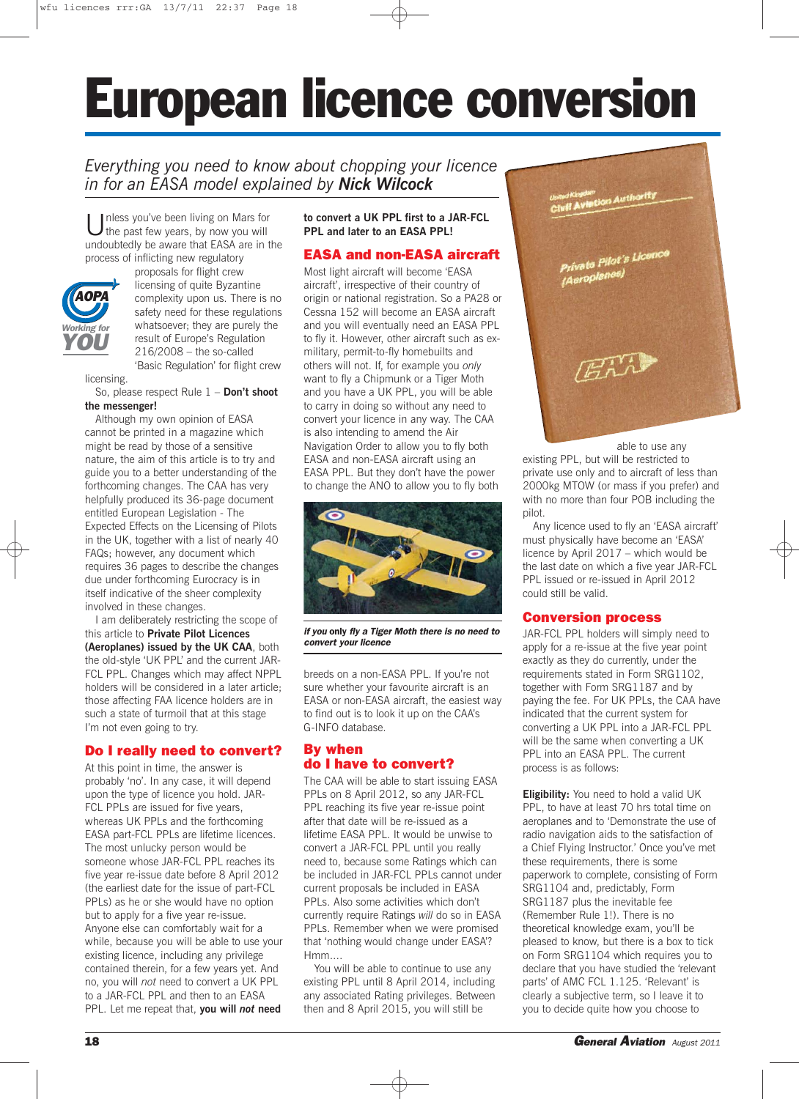# European licence conversion

# *Everything you need to know about chopping your licence in for an EASA model explained by Nick Wilcock*

Inless you've been living on Mars for the past few years, by now you will undoubtedly be aware that EASA are in the process of inflicting new regulatory



proposals for flight crew licensing of quite Byzantine complexity upon us. There is no safety need for these regulations whatsoever; they are purely the result of Europe's Regulation 216/2008 – the so-called 'Basic Regulation' for flight crew

licensing.

So, please respect Rule 1 – **Don't shoot the messenger!**

Although my own opinion of EASA cannot be printed in a magazine which might be read by those of a sensitive nature, the aim of this article is to try and guide you to a better understanding of the forthcoming changes. The CAA has very helpfully produced its 36-page document entitled European Legislation - The Expected Effects on the Licensing of Pilots in the UK, together with a list of nearly 40 FAQs; however, any document which requires 36 pages to describe the changes due under forthcoming Eurocracy is in itself indicative of the sheer complexity involved in these changes.

I am deliberately restricting the scope of this article to **Private Pilot Licences (Aeroplanes) issued by the UK CAA**, both the old-style 'UK PPL' and the current JAR-FCL PPL. Changes which may affect NPPL holders will be considered in a later article; those affecting FAA licence holders are in such a state of turmoil that at this stage I'm not even going to try.

# Do I really need to convert?

At this point in time, the answer is probably 'no'. In any case, it will depend upon the type of licence you hold. JAR-FCL PPLs are issued for five years, whereas UK PPLs and the forthcoming EASA part-FCL PPLs are lifetime licences. The most unlucky person would be someone whose JAR-FCL PPL reaches its five year re-issue date before 8 April 2012 (the earliest date for the issue of part-FCL PPLs) as he or she would have no option but to apply for a five year re-issue. Anyone else can comfortably wait for a while, because you will be able to use your existing licence, including any privilege contained therein, for a few years yet. And no, you will *not* need to convert a UK PPL to a JAR-FCL PPL and then to an EASA PPL. Let me repeat that, **you will** *not* **need**

**to convert a UK PPL first to a JAR-FCL PPL and later to an EASA PPL!**

# EASA and non-EASA aircraft

Most light aircraft will become 'EASA aircraft', irrespective of their country of origin or national registration. So a PA28 or Cessna 152 will become an EASA aircraft and you will eventually need an EASA PPL to fly it. However, other aircraft such as exmilitary, permit-to-fly homebuilts and others will not. If, for example you *only* want to fly a Chipmunk or a Tiger Moth and you have a UK PPL, you will be able to carry in doing so without any need to convert your licence in any way. The CAA is also intending to amend the Air Navigation Order to allow you to fly both EASA and non-EASA aircraft using an EASA PPL. But they don't have the power to change the ANO to allow you to fly both



if you only fly a Tiger Moth there is no need to convert your licence

breeds on a non-EASA PPL. If you're not sure whether your favourite aircraft is an EASA or non-EASA aircraft, the easiest way to find out is to look it up on the CAA's G-INFO database.

### By when do I have to convert?

The CAA will be able to start issuing EASA PPLs on 8 April 2012, so any JAR-FCL PPL reaching its five year re-issue point after that date will be re-issued as a lifetime EASA PPL. It would be unwise to convert a JAR-FCL PPL until you really need to, because some Ratings which can be included in JAR-FCL PPLs cannot under current proposals be included in EASA PPLs. Also some activities which don't currently require Ratings *will* do so in EASA PPLs. Remember when we were promised that 'nothing would change under EASA'? Hmm....

You will be able to continue to use any existing PPL until 8 April 2014, including any associated Rating privileges. Between then and 8 April 2015, you will still be



able to use any existing PPL, but will be restricted to private use only and to aircraft of less than 2000kg MTOW (or mass if you prefer) and with no more than four POB including the pilot.

Any licence used to fly an 'EASA aircraft' must physically have become an 'EASA' licence by April 2017 – which would be the last date on which a five year JAR-FCL PPL issued or re-issued in April 2012 could still be valid.

#### Conversion process

JAR-FCL PPL holders will simply need to apply for a re-issue at the five year point exactly as they do currently, under the requirements stated in Form SRG1102, together with Form SRG1187 and by paying the fee. For UK PPLs, the CAA have indicated that the current system for converting a UK PPL into a JAR-FCL PPL will be the same when converting a UK PPL into an EASA PPL. The current process is as follows:

**Eligibility:** You need to hold a valid UK PPL, to have at least 70 hrs total time on aeroplanes and to 'Demonstrate the use of radio navigation aids to the satisfaction of a Chief Flying Instructor.' Once you've met these requirements, there is some paperwork to complete, consisting of Form SRG1104 and, predictably, Form SRG1187 plus the inevitable fee (Remember Rule 1!). There is no theoretical knowledge exam, you'll be pleased to know, but there is a box to tick on Form SRG1104 which requires you to declare that you have studied the 'relevant parts' of AMC FCL 1.125. 'Relevant' is clearly a subjective term, so I leave it to you to decide quite how you choose to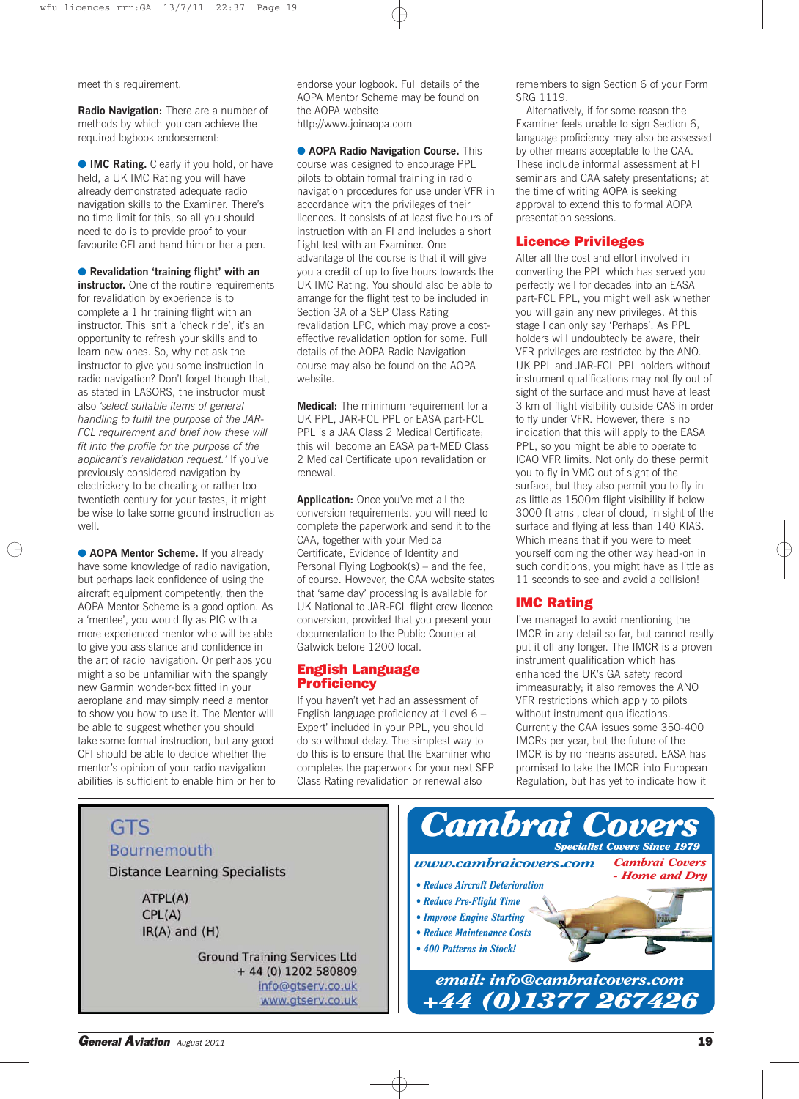meet this requirement.

**Radio Navigation:** There are a number of methods by which you can achieve the required logbook endorsement:

● **IMC Rating.** Clearly if you hold, or have held, a UK IMC Rating you will have already demonstrated adequate radio navigation skills to the Examiner. There's no time limit for this, so all you should need to do is to provide proof to your favourite CFI and hand him or her a pen.

● **Revalidation 'training flight' with an instructor.** One of the routine requirements for revalidation by experience is to complete a 1 hr training flight with an instructor. This isn't a 'check ride', it's an opportunity to refresh your skills and to learn new ones. So, why not ask the instructor to give you some instruction in radio navigation? Don't forget though that, as stated in LASORS, the instructor must also *'select suitable items of general handling to fulfil the purpose of the JAR-FCL requirement and brief how these will fit into the profile for the purpose of the applicant's revalidation request.'* If you've previously considered navigation by electrickery to be cheating or rather too twentieth century for your tastes, it might be wise to take some ground instruction as well.

**• AOPA Mentor Scheme.** If you already have some knowledge of radio navigation, but perhaps lack confidence of using the aircraft equipment competently, then the AOPA Mentor Scheme is a good option. As a 'mentee', you would fly as PIC with a more experienced mentor who will be able to give you assistance and confidence in the art of radio navigation. Or perhaps you might also be unfamiliar with the spangly new Garmin wonder-box fitted in your aeroplane and may simply need a mentor to show you how to use it. The Mentor will be able to suggest whether you should take some formal instruction, but any good CFI should be able to decide whether the mentor's opinion of your radio navigation abilities is sufficient to enable him or her to endorse your logbook. Full details of the AOPA Mentor Scheme may be found on the AOPA website http://www.joinaopa.com

● **AOPA Radio Navigation Course.** This course was designed to encourage PPL pilots to obtain formal training in radio navigation procedures for use under VFR in accordance with the privileges of their licences. It consists of at least five hours of instruction with an FI and includes a short flight test with an Examiner. One advantage of the course is that it will give you a credit of up to five hours towards the UK IMC Rating. You should also be able to arrange for the flight test to be included in Section 3A of a SEP Class Rating revalidation LPC, which may prove a costeffective revalidation option for some. Full details of the AOPA Radio Navigation course may also be found on the AOPA website.

**Medical:** The minimum requirement for a UK PPL, JAR-FCL PPL or EASA part-FCL PPL is a JAA Class 2 Medical Certificate; this will become an EASA part-MED Class 2 Medical Certificate upon revalidation or renewal.

**Application:** Once you've met all the conversion requirements, you will need to complete the paperwork and send it to the CAA, together with your Medical Certificate, Evidence of Identity and Personal Flying Logbook(s) – and the fee, of course. However, the CAA website states that 'same day' processing is available for UK National to JAR-FCL flight crew licence conversion, provided that you present your documentation to the Public Counter at Gatwick before 1200 local.

#### English Language **Proficiency**

If you haven't yet had an assessment of English language proficiency at 'Level 6 – Expert' included in your PPL, you should do so without delay. The simplest way to do this is to ensure that the Examiner who completes the paperwork for your next SEP Class Rating revalidation or renewal also

remembers to sign Section 6 of your Form SRG 1119.

Alternatively, if for some reason the Examiner feels unable to sign Section 6, language proficiency may also be assessed by other means acceptable to the CAA. These include informal assessment at FI seminars and CAA safety presentations; at the time of writing AOPA is seeking approval to extend this to formal AOPA presentation sessions.

#### Licence Privileges

After all the cost and effort involved in converting the PPL which has served you perfectly well for decades into an EASA part-FCL PPL, you might well ask whether you will gain any new privileges. At this stage I can only say 'Perhaps'. As PPL holders will undoubtedly be aware, their VFR privileges are restricted by the ANO. UK PPL and JAR-FCL PPL holders without instrument qualifications may not fly out of sight of the surface and must have at least 3 km of flight visibility outside CAS in order to fly under VFR. However, there is no indication that this will apply to the EASA PPL, so you might be able to operate to ICAO VFR limits. Not only do these permit you to fly in VMC out of sight of the surface, but they also permit you to fly in as little as 1500m flight visibility if below 3000 ft amsl, clear of cloud, in sight of the surface and flying at less than 140 KIAS. Which means that if you were to meet yourself coming the other way head-on in such conditions, you might have as little as 11 seconds to see and avoid a collision!

#### IMC Rating

I've managed to avoid mentioning the IMCR in any detail so far, but cannot really put it off any longer. The IMCR is a proven instrument qualification which has enhanced the UK's GA safety record immeasurably; it also removes the ANO VFR restrictions which apply to pilots without instrument qualifications. Currently the CAA issues some 350-400 IMCRs per year, but the future of the IMCR is by no means assured. EASA has promised to take the IMCR into European Regulation, but has yet to indicate how it